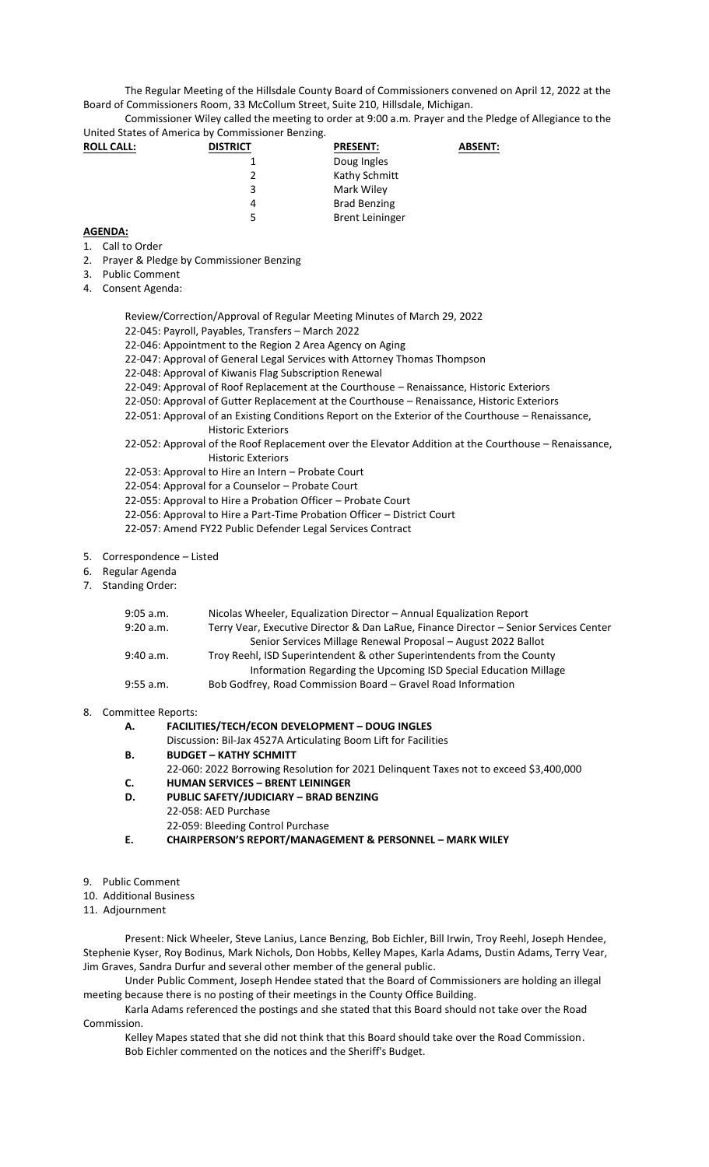The Regular Meeting of the Hillsdale County Board of Commissioners convened on April 12, 2022 at the Board of Commissioners Room, 33 McCollum Street, Suite 210, Hillsdale, Michigan.

Commissioner Wiley called the meeting to order at 9:00 a.m. Prayer and the Pledge of Allegiance to the United States of America by Commissioner Benzing.

| <b>ROLL CALL:</b> | <b>DISTRICT</b> | <b>PRESENT:</b>        | <b>ABSENT:</b> |
|-------------------|-----------------|------------------------|----------------|
|                   |                 | Doug Ingles            |                |
|                   |                 | Kathy Schmitt          |                |
|                   | 3               | Mark Wiley             |                |
|                   | 4               | <b>Brad Benzing</b>    |                |
|                   | 5               | <b>Brent Leininger</b> |                |

## **AGENDA:**

- 1. Call to Order
- 2. Prayer & Pledge by Commissioner Benzing
- 3. Public Comment
- 4. Consent Agenda:

Review/Correction/Approval of Regular Meeting Minutes of March 29, 2022

- 22-045: Payroll, Payables, Transfers March 2022
- 22-046: Appointment to the Region 2 Area Agency on Aging
- 22-047: Approval of General Legal Services with Attorney Thomas Thompson
- 22-048: Approval of Kiwanis Flag Subscription Renewal
- 22-049: Approval of Roof Replacement at the Courthouse Renaissance, Historic Exteriors
- 22-050: Approval of Gutter Replacement at the Courthouse Renaissance, Historic Exteriors
- 22-051: Approval of an Existing Conditions Report on the Exterior of the Courthouse Renaissance, Historic Exteriors
- 22-052: Approval of the Roof Replacement over the Elevator Addition at the Courthouse Renaissance, Historic Exteriors
- 22-053: Approval to Hire an Intern Probate Court
- 22-054: Approval for a Counselor Probate Court
- 22-055: Approval to Hire a Probation Officer Probate Court
- 22-056: Approval to Hire a Part-Time Probation Officer District Court
- 22-057: Amend FY22 Public Defender Legal Services Contract
- 5. Correspondence Listed
- 6. Regular Agenda
- 7. Standing Order:

| 9:05 a.m. | Nicolas Wheeler, Equalization Director - Annual Equalization Report                   |
|-----------|---------------------------------------------------------------------------------------|
| 9:20 a.m. | Terry Vear, Executive Director & Dan LaRue, Finance Director - Senior Services Center |
|           | Senior Services Millage Renewal Proposal - August 2022 Ballot                         |
| 9:40 a.m. | Troy Reehl, ISD Superintendent & other Superintendents from the County                |
|           | Information Regarding the Upcoming ISD Special Education Millage                      |
| 9:55 a.m. | Bob Godfrey, Road Commission Board – Gravel Road Information                          |
|           |                                                                                       |

## 8. Committee Reports:

- **A. FACILITIES/TECH/ECON DEVELOPMENT – DOUG INGLES**
	- Discussion: Bil-Jax 4527A Articulating Boom Lift for Facilities
- **B. BUDGET – KATHY SCHMITT**
- 22-060: 2022 Borrowing Resolution for 2021 Delinquent Taxes not to exceed \$3,400,000 **C. HUMAN SERVICES – BRENT LEININGER**
- **D. PUBLIC SAFETY/JUDICIARY – BRAD BENZING**
- 22-058: AED Purchase 22-059: Bleeding Control Purchase
- **E. CHAIRPERSON'S REPORT/MANAGEMENT & PERSONNEL – MARK WILEY**
- 9. Public Comment
- 10. Additional Business
- 11. Adjournment

Present: Nick Wheeler, Steve Lanius, Lance Benzing, Bob Eichler, Bill Irwin, Troy Reehl, Joseph Hendee, Stephenie Kyser, Roy Bodinus, Mark Nichols, Don Hobbs, Kelley Mapes, Karla Adams, Dustin Adams, Terry Vear, Jim Graves, Sandra Durfur and several other member of the general public.

Under Public Comment, Joseph Hendee stated that the Board of Commissioners are holding an illegal meeting because there is no posting of their meetings in the County Office Building.

Karla Adams referenced the postings and she stated that this Board should not take over the Road Commission.

Kelley Mapes stated that she did not think that this Board should take over the Road Commission. Bob Eichler commented on the notices and the Sheriff's Budget.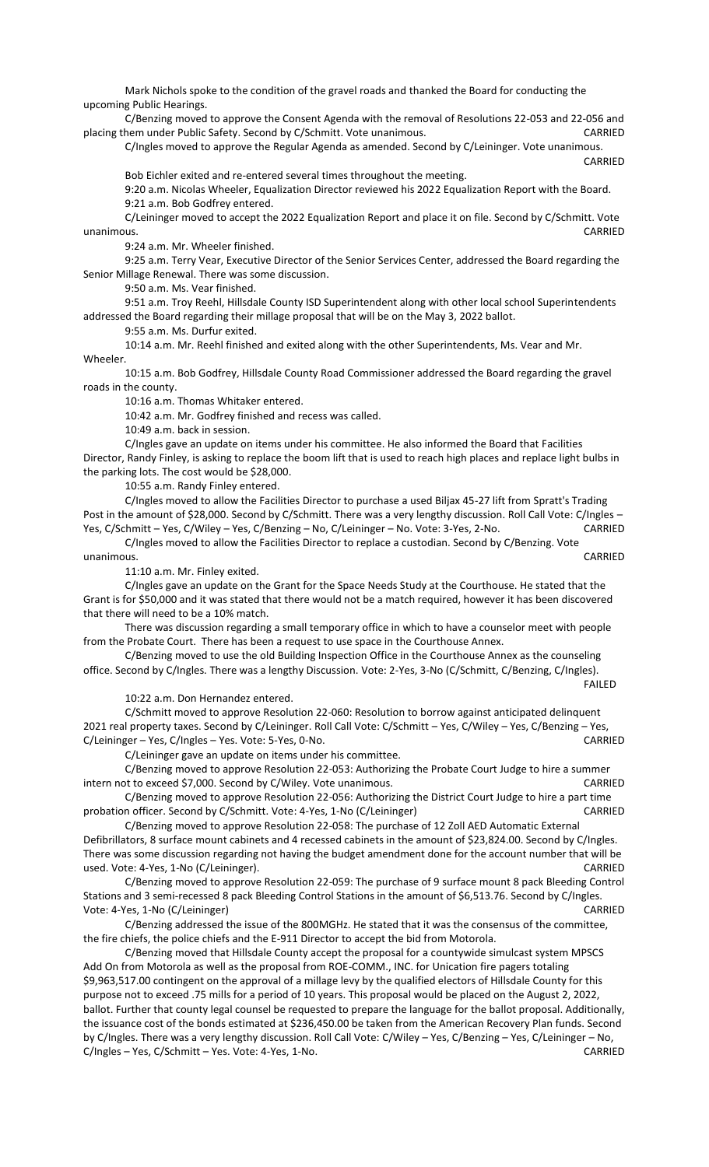Mark Nichols spoke to the condition of the gravel roads and thanked the Board for conducting the upcoming Public Hearings.

C/Benzing moved to approve the Consent Agenda with the removal of Resolutions 22-053 and 22-056 and placing them under Public Safety. Second by C/Schmitt. Vote unanimous. CARRIED

C/Ingles moved to approve the Regular Agenda as amended. Second by C/Leininger. Vote unanimous. CARRIED

Bob Eichler exited and re-entered several times throughout the meeting.

9:20 a.m. Nicolas Wheeler, Equalization Director reviewed his 2022 Equalization Report with the Board. 9:21 a.m. Bob Godfrey entered.

C/Leininger moved to accept the 2022 Equalization Report and place it on file. Second by C/Schmitt. Vote unanimous. CARRIED

9:24 a.m. Mr. Wheeler finished.

9:25 a.m. Terry Vear, Executive Director of the Senior Services Center, addressed the Board regarding the Senior Millage Renewal. There was some discussion.

9:50 a.m. Ms. Vear finished.

9:51 a.m. Troy Reehl, Hillsdale County ISD Superintendent along with other local school Superintendents addressed the Board regarding their millage proposal that will be on the May 3, 2022 ballot.

9:55 a.m. Ms. Durfur exited.

10:14 a.m. Mr. Reehl finished and exited along with the other Superintendents, Ms. Vear and Mr. Wheeler.

10:15 a.m. Bob Godfrey, Hillsdale County Road Commissioner addressed the Board regarding the gravel roads in the county.

10:16 a.m. Thomas Whitaker entered.

10:42 a.m. Mr. Godfrey finished and recess was called.

10:49 a.m. back in session.

C/Ingles gave an update on items under his committee. He also informed the Board that Facilities Director, Randy Finley, is asking to replace the boom lift that is used to reach high places and replace light bulbs in the parking lots. The cost would be \$28,000.

10:55 a.m. Randy Finley entered.

C/Ingles moved to allow the Facilities Director to purchase a used Biljax 45-27 lift from Spratt's Trading Post in the amount of \$28,000. Second by C/Schmitt. There was a very lengthy discussion. Roll Call Vote: C/Ingles -Yes, C/Schmitt – Yes, C/Wiley – Yes, C/Benzing – No, C/Leininger – No. Vote: 3-Yes, 2-No. CARRIED

C/Ingles moved to allow the Facilities Director to replace a custodian. Second by C/Benzing. Vote unanimous. CARRIED

11:10 a.m. Mr. Finley exited.

C/Ingles gave an update on the Grant for the Space Needs Study at the Courthouse. He stated that the Grant is for \$50,000 and it was stated that there would not be a match required, however it has been discovered that there will need to be a 10% match.

There was discussion regarding a small temporary office in which to have a counselor meet with people from the Probate Court. There has been a request to use space in the Courthouse Annex.

C/Benzing moved to use the old Building Inspection Office in the Courthouse Annex as the counseling office. Second by C/Ingles. There was a lengthy Discussion. Vote: 2-Yes, 3-No (C/Schmitt, C/Benzing, C/Ingles).

10:22 a.m. Don Hernandez entered.

C/Schmitt moved to approve Resolution 22-060: Resolution to borrow against anticipated delinquent 2021 real property taxes. Second by C/Leininger. Roll Call Vote: C/Schmitt – Yes, C/Wiley – Yes, C/Benzing – Yes, C/Leininger – Yes, C/Ingles – Yes. Vote: 5-Yes, 0-No. CARRIED

FAILED

C/Leininger gave an update on items under his committee.

C/Benzing moved to approve Resolution 22-053: Authorizing the Probate Court Judge to hire a summer intern not to exceed \$7,000. Second by C/Wiley. Vote unanimous. CARRIED

C/Benzing moved to approve Resolution 22-056: Authorizing the District Court Judge to hire a part time probation officer. Second by C/Schmitt. Vote: 4-Yes, 1-No (C/Leininger) CARRIED

C/Benzing moved to approve Resolution 22-058: The purchase of 12 Zoll AED Automatic External Defibrillators, 8 surface mount cabinets and 4 recessed cabinets in the amount of \$23,824.00. Second by C/Ingles. There was some discussion regarding not having the budget amendment done for the account number that will be used. Vote: 4-Yes, 1-No (C/Leininger). CARRIED

C/Benzing moved to approve Resolution 22-059: The purchase of 9 surface mount 8 pack Bleeding Control Stations and 3 semi-recessed 8 pack Bleeding Control Stations in the amount of \$6,513.76. Second by C/Ingles. Vote: 4-Yes, 1-No (C/Leininger) CARRIED

C/Benzing addressed the issue of the 800MGHz. He stated that it was the consensus of the committee, the fire chiefs, the police chiefs and the E-911 Director to accept the bid from Motorola.

C/Benzing moved that Hillsdale County accept the proposal for a countywide simulcast system MPSCS Add On from Motorola as well as the proposal from ROE-COMM., INC. for Unication fire pagers totaling \$9,963,517.00 contingent on the approval of a millage levy by the qualified electors of Hillsdale County for this purpose not to exceed .75 mills for a period of 10 years. This proposal would be placed on the August 2, 2022, ballot. Further that county legal counsel be requested to prepare the language for the ballot proposal. Additionally, the issuance cost of the bonds estimated at \$236,450.00 be taken from the American Recovery Plan funds. Second by C/Ingles. There was a very lengthy discussion. Roll Call Vote: C/Wiley – Yes, C/Benzing – Yes, C/Leininger – No, C/Ingles – Yes, C/Schmitt – Yes. Vote: 4-Yes, 1-No. CARRIED